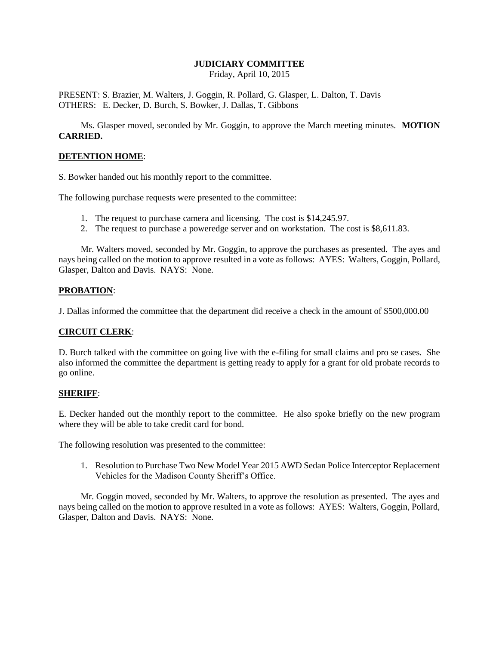# **JUDICIARY COMMITTEE**

Friday, April 10, 2015

PRESENT: S. Brazier, M. Walters, J. Goggin, R. Pollard, G. Glasper, L. Dalton, T. Davis OTHERS: E. Decker, D. Burch, S. Bowker, J. Dallas, T. Gibbons

Ms. Glasper moved, seconded by Mr. Goggin, to approve the March meeting minutes. **MOTION CARRIED.**

#### **DETENTION HOME**:

S. Bowker handed out his monthly report to the committee.

The following purchase requests were presented to the committee:

- 1. The request to purchase camera and licensing. The cost is \$14,245.97.
- 2. The request to purchase a poweredge server and on workstation. The cost is \$8,611.83.

Mr. Walters moved, seconded by Mr. Goggin, to approve the purchases as presented. The ayes and nays being called on the motion to approve resulted in a vote as follows: AYES: Walters, Goggin, Pollard, Glasper, Dalton and Davis. NAYS: None.

### **PROBATION**:

J. Dallas informed the committee that the department did receive a check in the amount of \$500,000.00

#### **CIRCUIT CLERK**:

D. Burch talked with the committee on going live with the e-filing for small claims and pro se cases. She also informed the committee the department is getting ready to apply for a grant for old probate records to go online.

#### **SHERIFF**:

E. Decker handed out the monthly report to the committee. He also spoke briefly on the new program where they will be able to take credit card for bond.

The following resolution was presented to the committee:

1. Resolution to Purchase Two New Model Year 2015 AWD Sedan Police Interceptor Replacement Vehicles for the Madison County Sheriff's Office.

Mr. Goggin moved, seconded by Mr. Walters, to approve the resolution as presented. The ayes and nays being called on the motion to approve resulted in a vote as follows: AYES: Walters, Goggin, Pollard, Glasper, Dalton and Davis. NAYS: None.